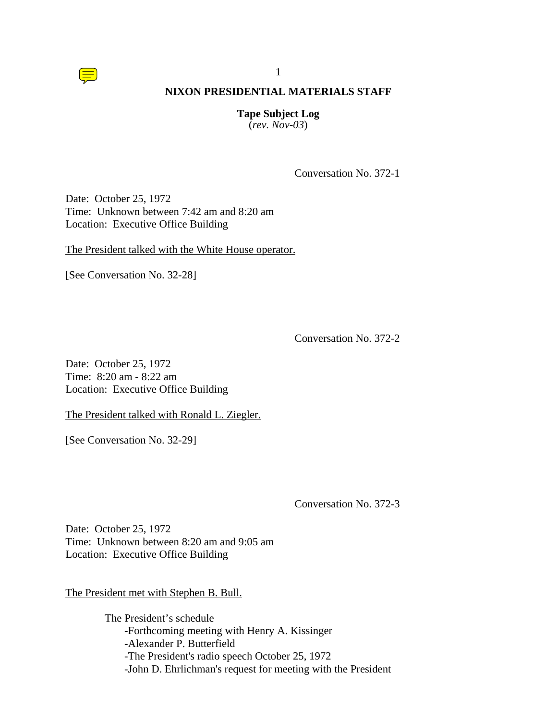

#### **Tape Subject Log** (*rev. Nov-03*)

Conversation No. 372-1

Date: October 25, 1972 Time: Unknown between 7:42 am and 8:20 am Location: Executive Office Building

The President talked with the White House operator.

[See Conversation No. 32-28]

Conversation No. 372-2

Date: October 25, 1972 Time: 8:20 am - 8:22 am Location: Executive Office Building

The President talked with Ronald L. Ziegler.

[See Conversation No. 32-29]

Conversation No. 372-3

Date: October 25, 1972 Time: Unknown between 8:20 am and 9:05 am Location: Executive Office Building

The President met with Stephen B. Bull.

The President's schedule -Forthcoming meeting with Henry A. Kissinger -Alexander P. Butterfield -The President's radio speech October 25, 1972 -John D. Ehrlichman's request for meeting with the President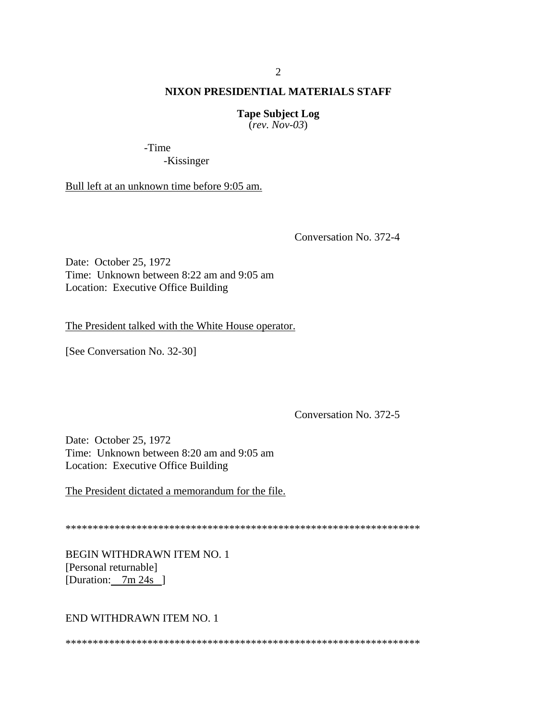## **Tape Subject Log**

 $(rev. Nov-03)$ 

-Time

-Kissinger

Bull left at an unknown time before 9:05 am.

Conversation No. 372-4

Date: October 25, 1972 Time: Unknown between 8:22 am and 9:05 am Location: Executive Office Building

The President talked with the White House operator.

[See Conversation No. 32-30]

Conversation No. 372-5

Date: October 25, 1972 Time: Unknown between 8:20 am and 9:05 am Location: Executive Office Building

The President dictated a memorandum for the file.

BEGIN WITHDRAWN ITEM NO. 1 [Personal returnable] [Duration:  $7m 24s$ ]

END WITHDRAWN ITEM NO. 1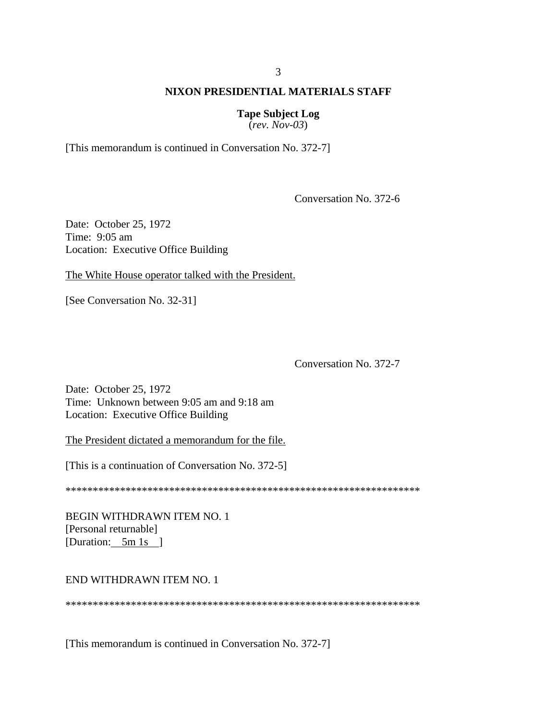# **Tape Subject Log**

 $(rev. Nov-03)$ 

[This memorandum is continued in Conversation No. 372-7]

Conversation No. 372-6

Date: October 25, 1972 Time: 9:05 am Location: Executive Office Building

The White House operator talked with the President.

[See Conversation No. 32-31]

Conversation No. 372-7

Date: October 25, 1972 Time: Unknown between 9:05 am and 9:18 am Location: Executive Office Building

The President dictated a memorandum for the file.

[This is a continuation of Conversation No. 372-5]

**BEGIN WITHDRAWN ITEM NO. 1** [Personal returnable] [Duration:  $5m 1s$ ]

## END WITHDRAWN ITEM NO. 1

[This memorandum is continued in Conversation No. 372-7]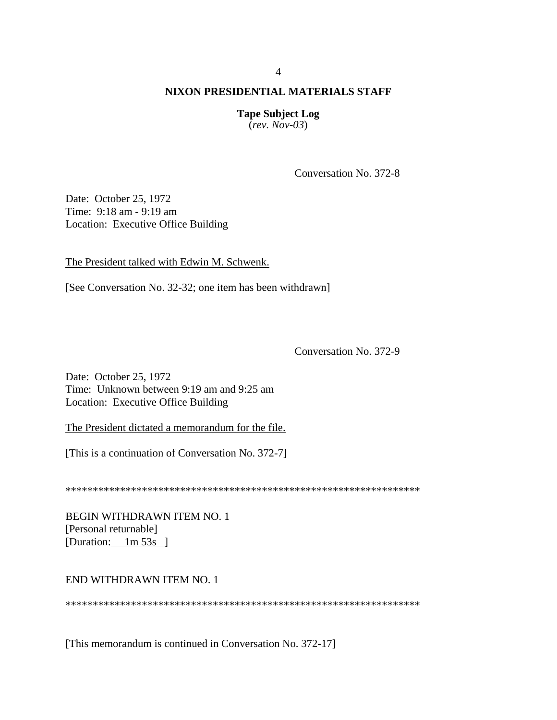**Tape Subject Log**  $(rev. Nov-03)$ 

Conversation No. 372-8

Date: October 25, 1972 Time: 9:18 am - 9:19 am Location: Executive Office Building

The President talked with Edwin M. Schwenk.

[See Conversation No. 32-32; one item has been withdrawn]

Conversation No. 372-9

Date: October 25, 1972 Time: Unknown between 9:19 am and 9:25 am Location: Executive Office Building

The President dictated a memorandum for the file.

[This is a continuation of Conversation No. 372-7]

BEGIN WITHDRAWN ITEM NO. 1 [Personal returnable] [Duration:  $1m\,53s$ ]

## END WITHDRAWN ITEM NO. 1

[This memorandum is continued in Conversation No. 372-17]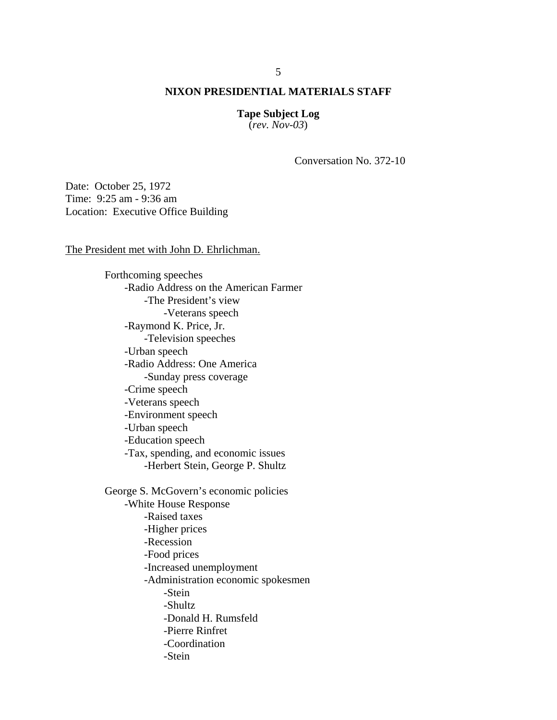**Tape Subject Log** (*rev. Nov-03*)

Conversation No. 372-10

Date: October 25, 1972 Time: 9:25 am - 9:36 am Location: Executive Office Building

The President met with John D. Ehrlichman.

Forthcoming speeches -Radio Address on the American Farmer -The President's view -Veterans speech -Raymond K. Price, Jr. -Television speeches -Urban speech -Radio Address: One America -Sunday press coverage -Crime speech -Veterans speech -Environment speech -Urban speech -Education speech -Tax, spending, and economic issues -Herbert Stein, George P. Shultz George S. McGovern's economic policies -White House Response -Raised taxes -Higher prices -Recession -Food prices -Increased unemployment -Administration economic spokesmen -Stein -Shultz -Donald H. Rumsfeld -Pierre Rinfret -Coordination -Stein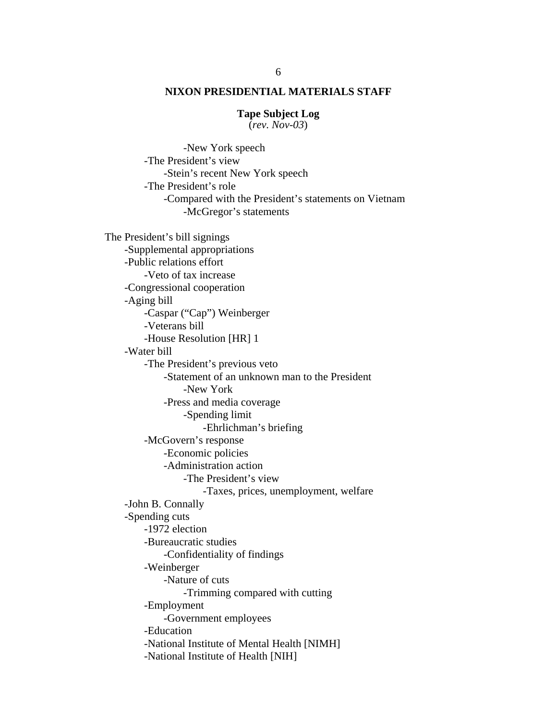#### **Tape Subject Log**

(*rev. Nov-03*)

 -New York speech -The President's view -Stein's recent New York speech -The President's role -Compared with the President's statements on Vietnam -McGregor's statements The President's bill signings -Supplemental appropriations -Public relations effort -Veto of tax increase -Congressional cooperation -Aging bill -Caspar ("Cap") Weinberger -Veterans bill -House Resolution [HR] 1 -Water bill -The President's previous veto -Statement of an unknown man to the President -New York -Press and media coverage -Spending limit -Ehrlichman's briefing -McGovern's response -Economic policies -Administration action -The President's view -Taxes, prices, unemployment, welfare -John B. Connally -Spending cuts -1972 election -Bureaucratic studies -Confidentiality of findings -Weinberger -Nature of cuts -Trimming compared with cutting -Employment -Government employees -Education -National Institute of Mental Health [NIMH] -National Institute of Health [NIH]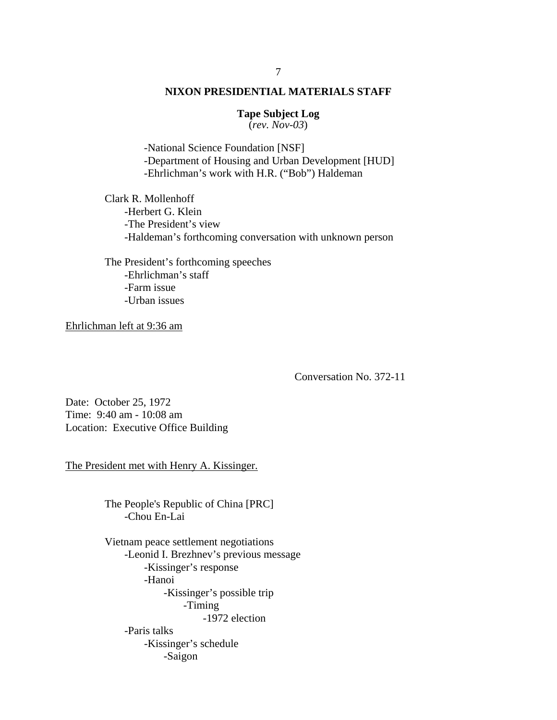# **Tape Subject Log**

(*rev. Nov-03*)

-National Science Foundation [NSF] -Department of Housing and Urban Development [HUD] -Ehrlichman's work with H.R. ("Bob") Haldeman

 Clark R. Mollenhoff -Herbert G. Klein -The President's view -Haldeman's forthcoming conversation with unknown person

 The President's forthcoming speeches -Ehrlichman's staff -Farm issue -Urban issues

Ehrlichman left at 9:36 am

Conversation No. 372-11

Date: October 25, 1972 Time: 9:40 am - 10:08 am Location: Executive Office Building

The President met with Henry A. Kissinger.

The People's Republic of China [PRC] -Chou En-Lai

Vietnam peace settlement negotiations -Leonid I. Brezhnev's previous message -Kissinger's response -Hanoi -Kissinger's possible trip -Timing -1972 election -Paris talks -Kissinger's schedule -Saigon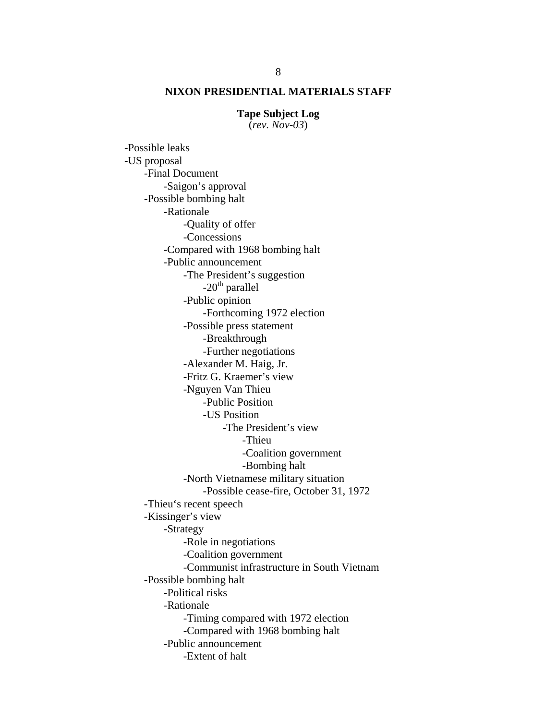#### **Tape Subject Log**

(*rev. Nov-03*)

-Possible leaks -US proposal -Final Document -Saigon's approval -Possible bombing halt -Rationale -Quality of offer -Concessions -Compared with 1968 bombing halt -Public announcement -The President's suggestion  $-20<sup>th</sup>$  parallel -Public opinion -Forthcoming 1972 election -Possible press statement -Breakthrough -Further negotiations -Alexander M. Haig, Jr. -Fritz G. Kraemer's view -Nguyen Van Thieu -Public Position -US Position -The President's view -Thieu -Coalition government -Bombing halt -North Vietnamese military situation -Possible cease-fire, October 31, 1972 -Thieu's recent speech -Kissinger's view -Strategy -Role in negotiations -Coalition government -Communist infrastructure in South Vietnam -Possible bombing halt -Political risks -Rationale -Timing compared with 1972 election -Compared with 1968 bombing halt -Public announcement -Extent of halt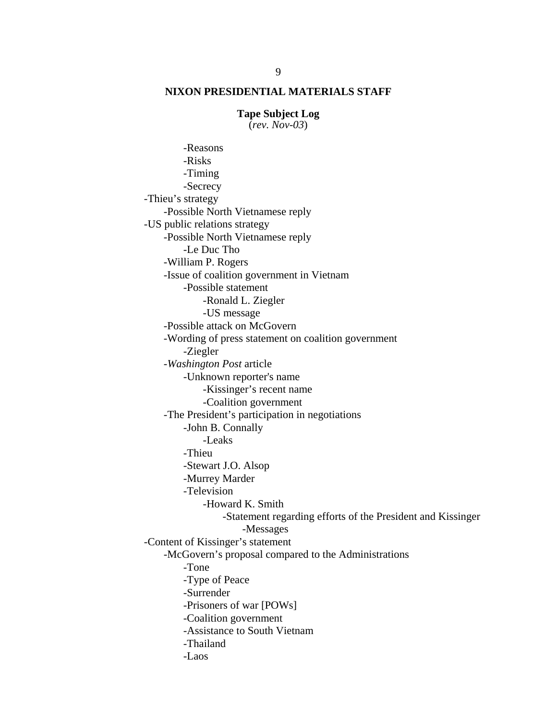#### **Tape Subject Log**

(*rev. Nov-03*)

 -Reasons -Risks -Timing -Secrecy -Thieu's strategy -Possible North Vietnamese reply -US public relations strategy -Possible North Vietnamese reply -Le Duc Tho -William P. Rogers -Issue of coalition government in Vietnam -Possible statement -Ronald L. Ziegler -US message -Possible attack on McGovern -Wording of press statement on coalition government -Ziegler -*Washington Post* article -Unknown reporter's name -Kissinger's recent name -Coalition government -The President's participation in negotiations -John B. Connally -Leaks -Thieu -Stewart J.O. Alsop -Murrey Marder -Television -Howard K. Smith -Statement regarding efforts of the President and Kissinger -Messages -Content of Kissinger's statement -McGovern's proposal compared to the Administrations -Tone -Type of Peace -Surrender -Prisoners of war [POWs] -Coalition government -Assistance to South Vietnam -Thailand -Laos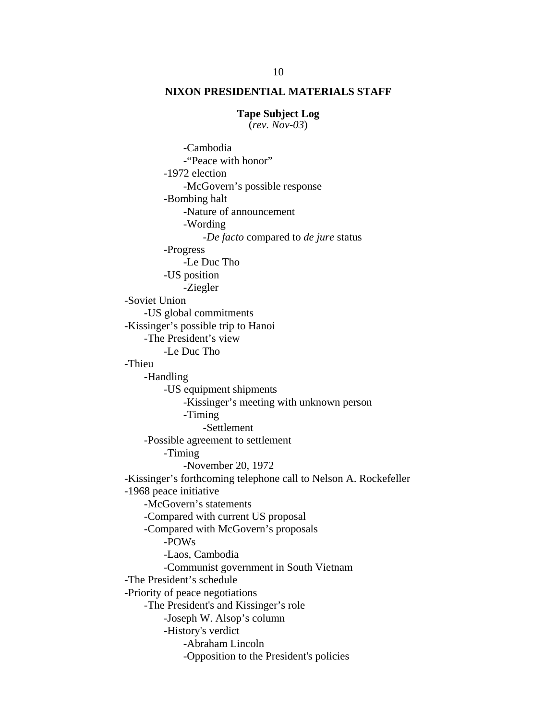#### **Tape Subject Log**

(*rev. Nov-03*)

 -Cambodia -"Peace with honor" -1972 election -McGovern's possible response -Bombing halt -Nature of announcement -Wording -*De facto* compared to *de jure* status -Progress -Le Duc Tho -US position -Ziegler -Soviet Union -US global commitments -Kissinger's possible trip to Hanoi -The President's view -Le Duc Tho -Thieu -Handling -US equipment shipments -Kissinger's meeting with unknown person -Timing -Settlement -Possible agreement to settlement -Timing -November 20, 1972 -Kissinger's forthcoming telephone call to Nelson A. Rockefeller -1968 peace initiative -McGovern's statements -Compared with current US proposal -Compared with McGovern's proposals -POWs -Laos, Cambodia -Communist government in South Vietnam -The President's schedule -Priority of peace negotiations -The President's and Kissinger's role -Joseph W. Alsop's column -History's verdict -Abraham Lincoln -Opposition to the President's policies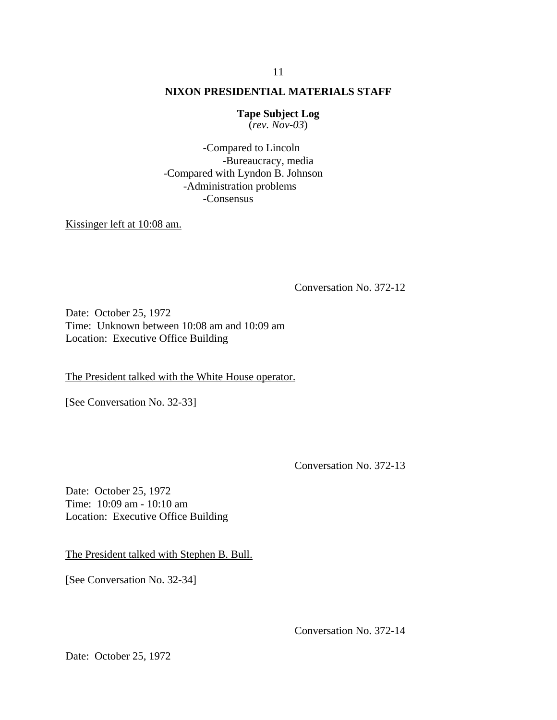# **Tape Subject Log**

(*rev. Nov-03*)

 -Compared to Lincoln -Bureaucracy, media -Compared with Lyndon B. Johnson -Administration problems -Consensus

Kissinger left at 10:08 am.

Conversation No. 372-12

Date: October 25, 1972 Time: Unknown between 10:08 am and 10:09 am Location: Executive Office Building

The President talked with the White House operator.

[See Conversation No. 32-33]

Conversation No. 372-13

Date: October 25, 1972 Time: 10:09 am - 10:10 am Location: Executive Office Building

The President talked with Stephen B. Bull.

[See Conversation No. 32-34]

Conversation No. 372-14

Date: October 25, 1972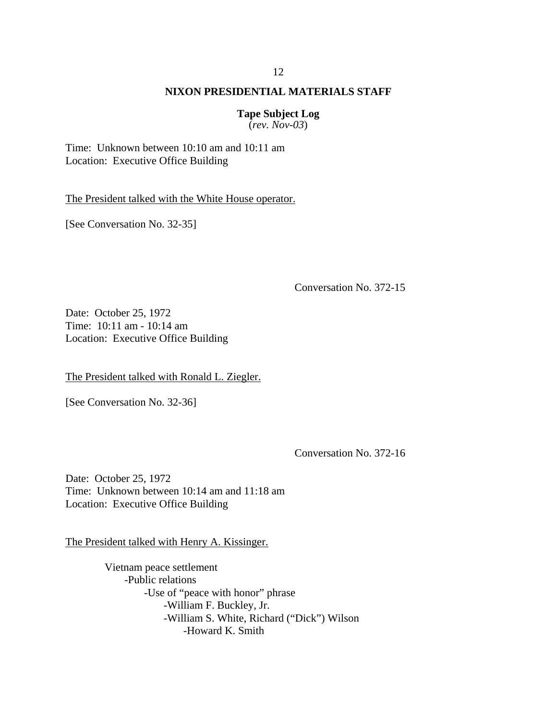# **Tape Subject Log**

(*rev. Nov-03*)

Time: Unknown between 10:10 am and 10:11 am Location: Executive Office Building

The President talked with the White House operator.

[See Conversation No. 32-35]

Conversation No. 372-15

Date: October 25, 1972 Time: 10:11 am - 10:14 am Location: Executive Office Building

The President talked with Ronald L. Ziegler.

[See Conversation No. 32-36]

Conversation No. 372-16

Date: October 25, 1972 Time: Unknown between 10:14 am and 11:18 am Location: Executive Office Building

The President talked with Henry A. Kissinger.

Vietnam peace settlement -Public relations -Use of "peace with honor" phrase -William F. Buckley, Jr. -William S. White, Richard ("Dick") Wilson -Howard K. Smith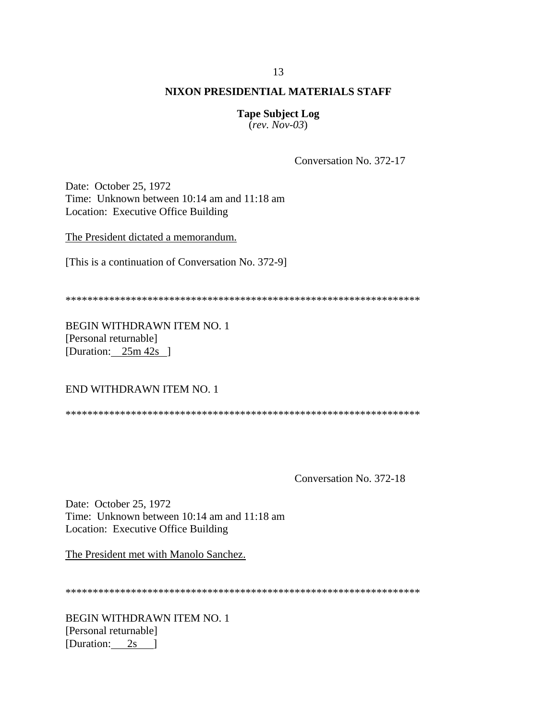# **Tape Subject Log**

 $(rev. Nov-03)$ 

Conversation No. 372-17

Date: October 25, 1972 Time: Unknown between 10:14 am and 11:18 am Location: Executive Office Building

The President dictated a memorandum.

[This is a continuation of Conversation No. 372-9]

BEGIN WITHDRAWN ITEM NO. 1 [Personal returnable] [Duration:  $25m 42s$  ]

#### END WITHDRAWN ITEM NO. 1

Conversation No. 372-18

Date: October 25, 1972 Time: Unknown between 10:14 am and 11:18 am Location: Executive Office Building

The President met with Manolo Sanchez.

BEGIN WITHDRAWN ITEM NO. 1 [Personal returnable] [Duration: 2s ]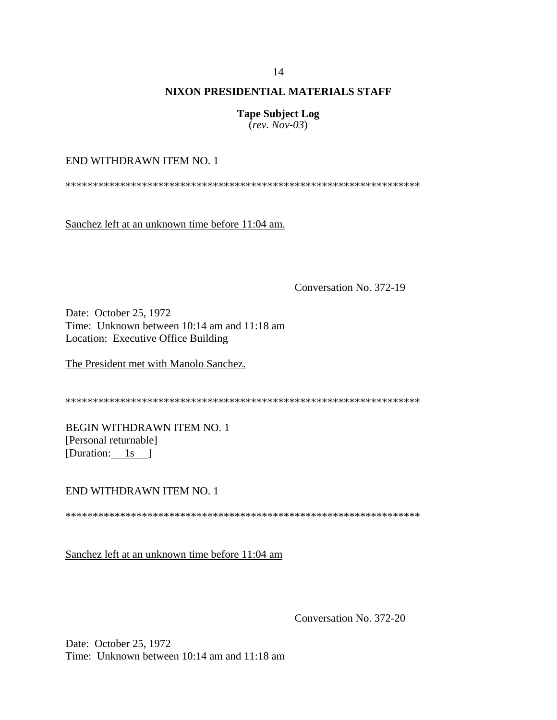**Tape Subject Log** (*rev. Nov-03*)

END WITHDRAWN ITEM NO. 1

\*\*\*\*\*\*\*\*\*\*\*\*\*\*\*\*\*\*\*\*\*\*\*\*\*\*\*\*\*\*\*\*\*\*\*\*\*\*\*\*\*\*\*\*\*\*\*\*\*\*\*\*\*\*\*\*\*\*\*\*\*\*\*\*\*

Sanchez left at an unknown time before 11:04 am.

Conversation No. 372-19

Date: October 25, 1972 Time: Unknown between 10:14 am and 11:18 am Location: Executive Office Building

The President met with Manolo Sanchez.

\*\*\*\*\*\*\*\*\*\*\*\*\*\*\*\*\*\*\*\*\*\*\*\*\*\*\*\*\*\*\*\*\*\*\*\*\*\*\*\*\*\*\*\*\*\*\*\*\*\*\*\*\*\*\*\*\*\*\*\*\*\*\*\*\*

BEGIN WITHDRAWN ITEM NO. 1 [Personal returnable] [Duration:  $1s$  ]

END WITHDRAWN ITEM NO. 1

\*\*\*\*\*\*\*\*\*\*\*\*\*\*\*\*\*\*\*\*\*\*\*\*\*\*\*\*\*\*\*\*\*\*\*\*\*\*\*\*\*\*\*\*\*\*\*\*\*\*\*\*\*\*\*\*\*\*\*\*\*\*\*\*\*

Sanchez left at an unknown time before 11:04 am

Conversation No. 372-20

Date: October 25, 1972 Time: Unknown between 10:14 am and 11:18 am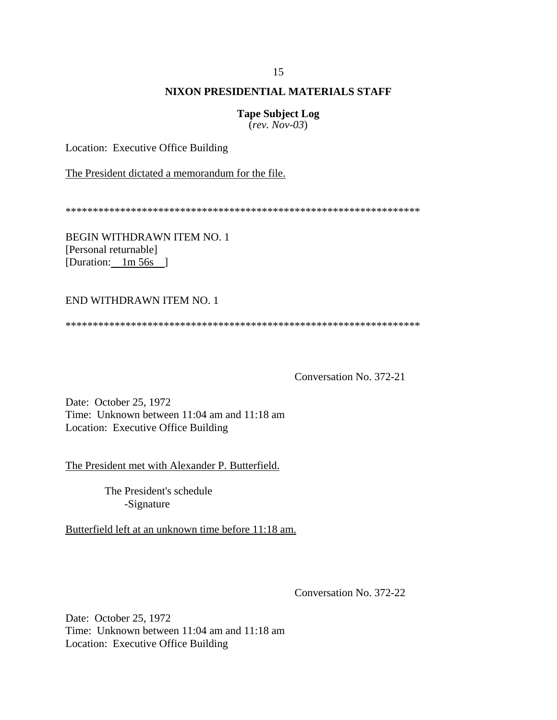**Tape Subject Log**

(*rev. Nov-03*)

Location: Executive Office Building

The President dictated a memorandum for the file.

\*\*\*\*\*\*\*\*\*\*\*\*\*\*\*\*\*\*\*\*\*\*\*\*\*\*\*\*\*\*\*\*\*\*\*\*\*\*\*\*\*\*\*\*\*\*\*\*\*\*\*\*\*\*\*\*\*\*\*\*\*\*\*\*\*

BEGIN WITHDRAWN ITEM NO. 1 [Personal returnable] [Duration: 1m 56s ]

#### END WITHDRAWN ITEM NO. 1

\*\*\*\*\*\*\*\*\*\*\*\*\*\*\*\*\*\*\*\*\*\*\*\*\*\*\*\*\*\*\*\*\*\*\*\*\*\*\*\*\*\*\*\*\*\*\*\*\*\*\*\*\*\*\*\*\*\*\*\*\*\*\*\*\*

Conversation No. 372-21

Date: October 25, 1972 Time: Unknown between 11:04 am and 11:18 am Location: Executive Office Building

The President met with Alexander P. Butterfield.

The President's schedule -Signature

Butterfield left at an unknown time before 11:18 am.

Conversation No. 372-22

Date: October 25, 1972 Time: Unknown between 11:04 am and 11:18 am Location: Executive Office Building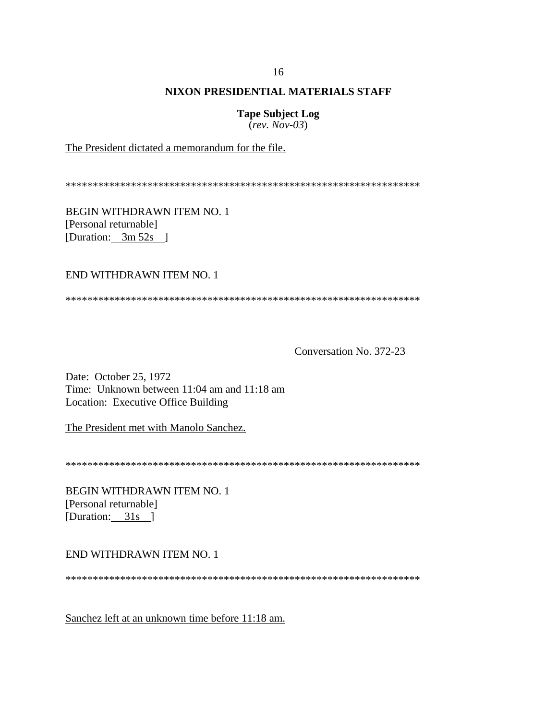**Tape Subject Log** 

 $(rev. Nov-03)$ 

The President dictated a memorandum for the file.

**BEGIN WITHDRAWN ITEM NO. 1** [Personal returnable] [Duration:  $3m 52s$ ]

## END WITHDRAWN ITEM NO. 1

Conversation No. 372-23

Date: October 25, 1972 Time: Unknown between 11:04 am and 11:18 am Location: Executive Office Building

The President met with Manolo Sanchez.

**BEGIN WITHDRAWN ITEM NO. 1** [Personal returnable] [Duration:  $31s$ ]

#### END WITHDRAWN ITEM NO. 1

Sanchez left at an unknown time before 11:18 am.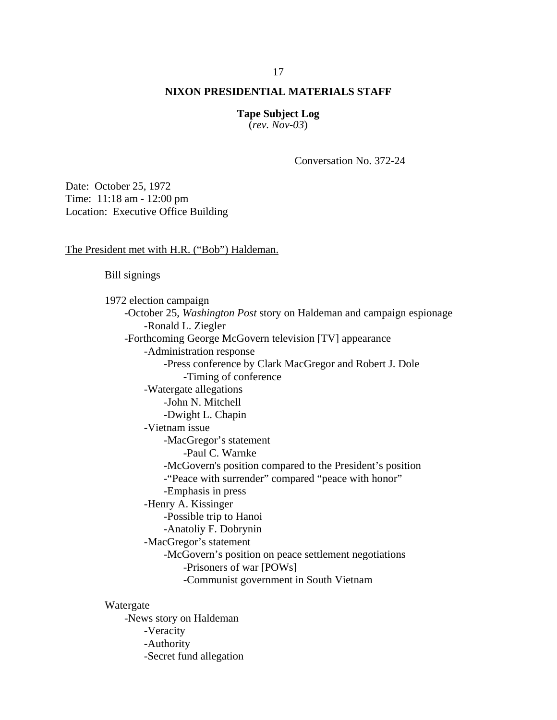**Tape Subject Log** (*rev. Nov-03*)

Conversation No. 372-24

Date: October 25, 1972 Time: 11:18 am - 12:00 pm Location: Executive Office Building

The President met with H.R. ("Bob") Haldeman.

Bill signings

 1972 election campaign -October 25, *Washington Post* story on Haldeman and campaign espionage -Ronald L. Ziegler -Forthcoming George McGovern television [TV] appearance -Administration response -Press conference by Clark MacGregor and Robert J. Dole -Timing of conference -Watergate allegations -John N. Mitchell -Dwight L. Chapin -Vietnam issue -MacGregor's statement -Paul C. Warnke -McGovern's position compared to the President's position -"Peace with surrender" compared "peace with honor" -Emphasis in press -Henry A. Kissinger -Possible trip to Hanoi -Anatoliy F. Dobrynin -MacGregor's statement -McGovern's position on peace settlement negotiations -Prisoners of war [POWs] -Communist government in South Vietnam Watergate

-News story on Haldeman -Veracity -Authority -Secret fund allegation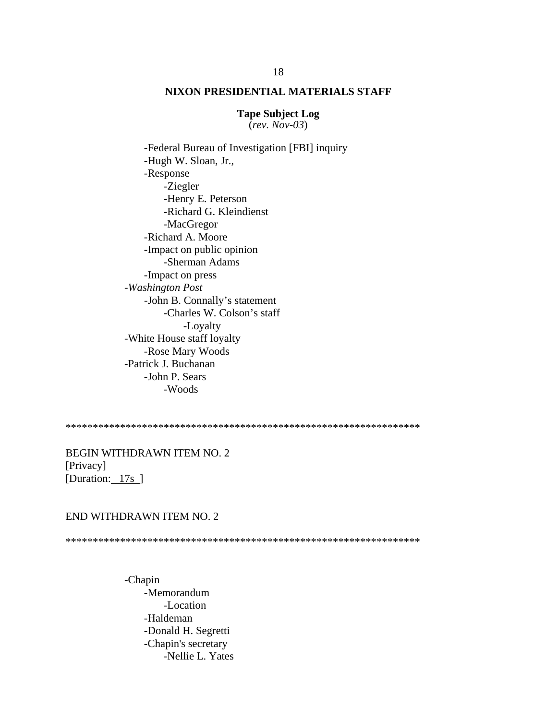#### **Tape Subject Log** (*rev. Nov-03*)

-Federal Bureau of Investigation [FBI] inquiry -Hugh W. Sloan, Jr., -Response -Ziegler -Henry E. Peterson -Richard G. Kleindienst -MacGregor -Richard A. Moore -Impact on public opinion -Sherman Adams -Impact on press -*Washington Post* -John B. Connally's statement -Charles W. Colson's staff -Loyalty -White House staff loyalty -Rose Mary Woods -Patrick J. Buchanan -John P. Sears -Woods

\*\*\*\*\*\*\*\*\*\*\*\*\*\*\*\*\*\*\*\*\*\*\*\*\*\*\*\*\*\*\*\*\*\*\*\*\*\*\*\*\*\*\*\*\*\*\*\*\*\*\*\*\*\*\*\*\*\*\*\*\*\*\*\*\*

BEGIN WITHDRAWN ITEM NO. 2 [Privacy] [Duration: 17s ]

#### END WITHDRAWN ITEM NO. 2

\*\*\*\*\*\*\*\*\*\*\*\*\*\*\*\*\*\*\*\*\*\*\*\*\*\*\*\*\*\*\*\*\*\*\*\*\*\*\*\*\*\*\*\*\*\*\*\*\*\*\*\*\*\*\*\*\*\*\*\*\*\*\*\*\*

-Chapin -Memorandum -Location -Haldeman -Donald H. Segretti -Chapin's secretary -Nellie L. Yates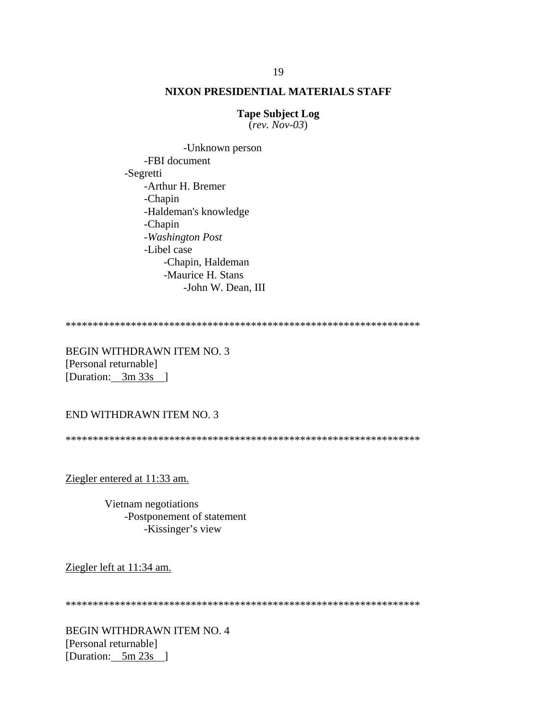## **Tape Subject Log**

 $(rev. Nov-03)$ 

-Unknown person -FBI document -Segretti -Arthur H. Bremer -Chapin -Haldeman's knowledge -Chapin -Washington Post -Libel case -Chapin, Haldeman -Maurice H. Stans -John W. Dean, III

**BEGIN WITHDRAWN ITEM NO. 3** [Personal returnable] [Duration:  $3m 33s$ ]

## END WITHDRAWN ITEM NO. 3

Ziegler entered at 11:33 am.

Vietnam negotiations -Postponement of statement -Kissinger's view

Ziegler left at 11:34 am.

**BEGIN WITHDRAWN ITEM NO. 4** [Personal returnable] [Duration:  $5m 23s$ ]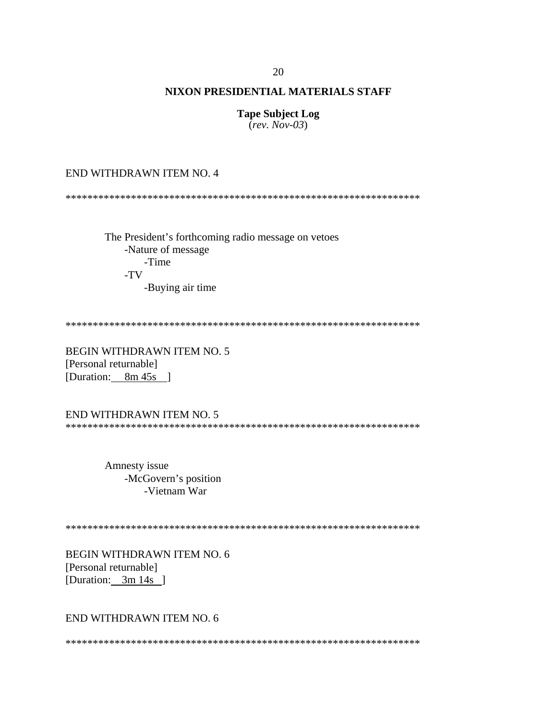## **Tape Subject Log**

 $(rev. Nov-03)$ 

END WITHDRAWN ITEM NO. 4

The President's forthcoming radio message on vetoes -Nature of message -Time  $-TV$ -Buying air time

**BEGIN WITHDRAWN ITEM NO. 5** [Personal returnable] [Duration: 8m 45s ]

END WITHDRAWN ITEM NO. 5 

> Amnesty issue -McGovern's position -Vietnam War

**BEGIN WITHDRAWN ITEM NO. 6** [Personal returnable] [Duration:  $3m 14s$ ]

END WITHDRAWN ITEM NO. 6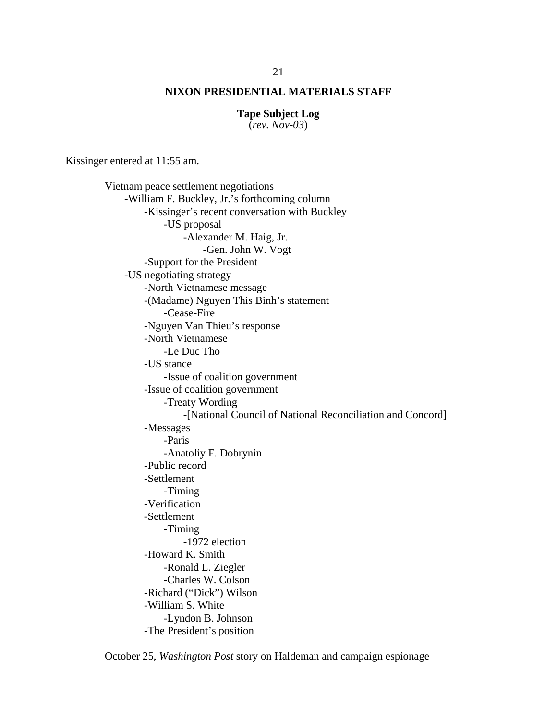#### **Tape Subject Log**

(*rev. Nov-03*)

Kissinger entered at 11:55 am.

Vietnam peace settlement negotiations -William F. Buckley, Jr.'s forthcoming column -Kissinger's recent conversation with Buckley -US proposal -Alexander M. Haig, Jr. -Gen. John W. Vogt -Support for the President -US negotiating strategy -North Vietnamese message -(Madame) Nguyen This Binh's statement -Cease-Fire -Nguyen Van Thieu's response -North Vietnamese -Le Duc Tho -US stance -Issue of coalition government -Issue of coalition government -Treaty Wording -[National Council of National Reconciliation and Concord] -Messages -Paris -Anatoliy F. Dobrynin -Public record -Settlement -Timing -Verification -Settlement -Timing -1972 election -Howard K. Smith -Ronald L. Ziegler -Charles W. Colson -Richard ("Dick") Wilson -William S. White -Lyndon B. Johnson -The President's position

October 25, *Washington Post* story on Haldeman and campaign espionage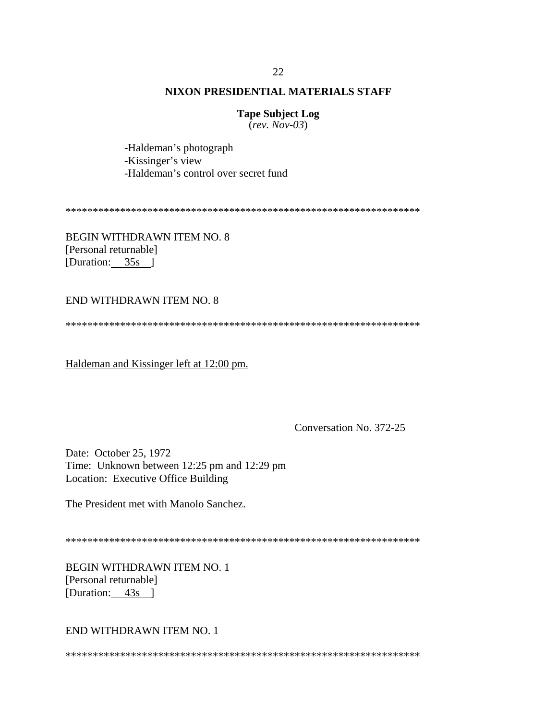## **Tape Subject Log**

 $(rev. Nov-03)$ 

-Haldeman's photograph -Kissinger's view -Haldeman's control over secret fund

**BEGIN WITHDRAWN ITEM NO. 8** [Personal returnable] [Duration:  $35s$ ]

#### **END WITHDRAWN ITEM NO. 8**

Haldeman and Kissinger left at 12:00 pm.

Conversation No. 372-25

Date: October 25, 1972 Time: Unknown between 12:25 pm and 12:29 pm Location: Executive Office Building

The President met with Manolo Sanchez.

**BEGIN WITHDRAWN ITEM NO. 1** [Personal returnable] [Duration: 43s ]

END WITHDRAWN ITEM NO. 1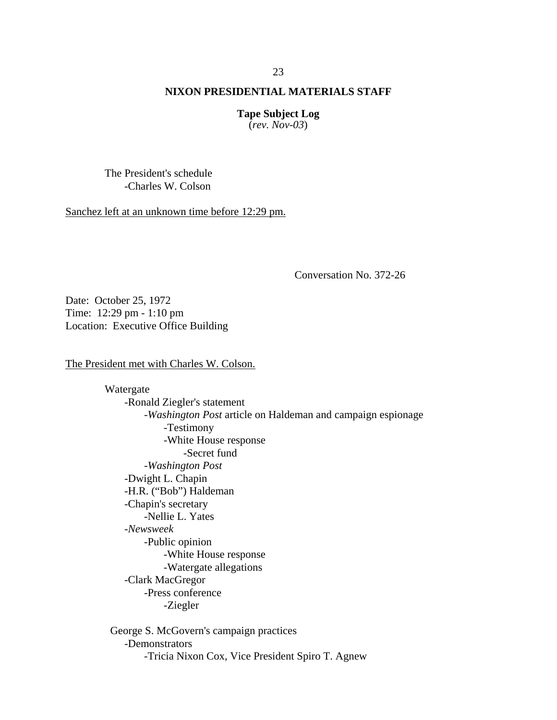**Tape Subject Log** (*rev. Nov-03*)

The President's schedule -Charles W. Colson

Sanchez left at an unknown time before 12:29 pm.

Conversation No. 372-26

Date: October 25, 1972 Time: 12:29 pm - 1:10 pm Location: Executive Office Building

The President met with Charles W. Colson.

Watergate -Ronald Ziegler's statement -*Washington Post* article on Haldeman and campaign espionage -Testimony -White House response -Secret fund -*Washington Post* -Dwight L. Chapin -H.R. ("Bob") Haldeman -Chapin's secretary -Nellie L. Yates -*Newsweek* -Public opinion -White House response -Watergate allegations -Clark MacGregor -Press conference -Ziegler George S. McGovern's campaign practices

-Demonstrators -Tricia Nixon Cox, Vice President Spiro T. Agnew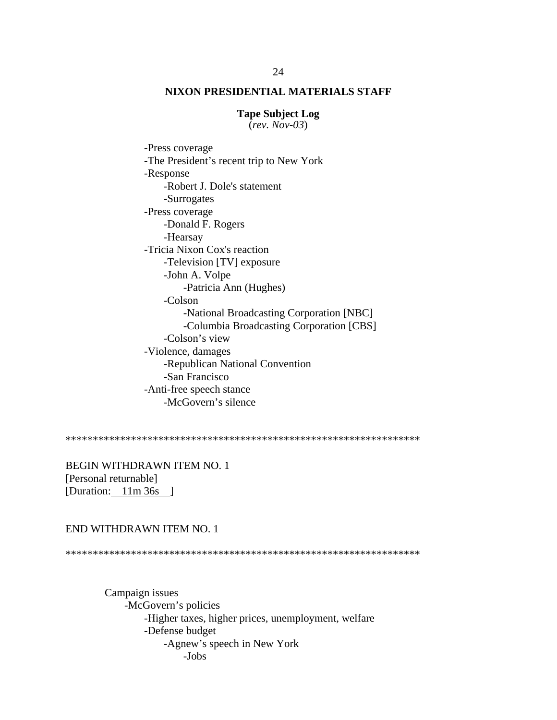#### **Tape Subject Log**

(*rev. Nov-03*)

 -Press coverage -The President's recent trip to New York -Response -Robert J. Dole's statement -Surrogates -Press coverage -Donald F. Rogers -Hearsay -Tricia Nixon Cox's reaction -Television [TV] exposure -John A. Volpe -Patricia Ann (Hughes) -Colson -National Broadcasting Corporation [NBC] -Columbia Broadcasting Corporation [CBS] -Colson's view -Violence, damages -Republican National Convention -San Francisco -Anti-free speech stance -McGovern's silence

\*\*\*\*\*\*\*\*\*\*\*\*\*\*\*\*\*\*\*\*\*\*\*\*\*\*\*\*\*\*\*\*\*\*\*\*\*\*\*\*\*\*\*\*\*\*\*\*\*\*\*\*\*\*\*\*\*\*\*\*\*\*\*\*\*

BEGIN WITHDRAWN ITEM NO. 1 [Personal returnable] [Duration: 11m 36s ]

#### END WITHDRAWN ITEM NO. 1

\*\*\*\*\*\*\*\*\*\*\*\*\*\*\*\*\*\*\*\*\*\*\*\*\*\*\*\*\*\*\*\*\*\*\*\*\*\*\*\*\*\*\*\*\*\*\*\*\*\*\*\*\*\*\*\*\*\*\*\*\*\*\*\*\*

Campaign issues -McGovern's policies -Higher taxes, higher prices, unemployment, welfare -Defense budget -Agnew's speech in New York -Jobs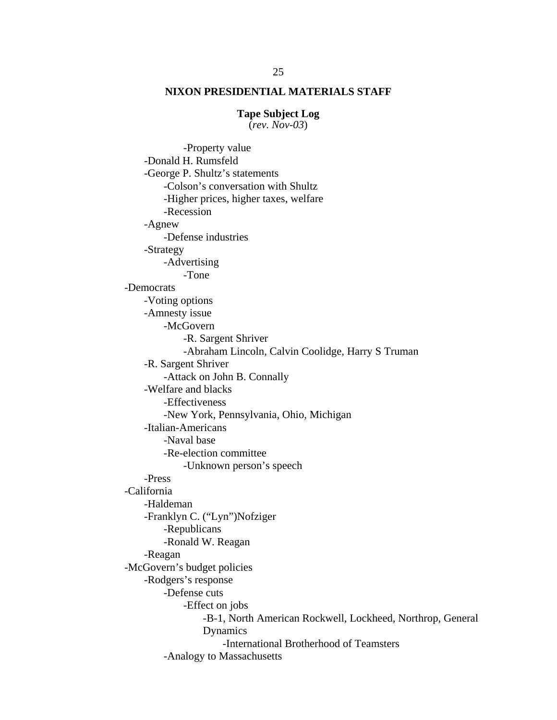#### **Tape Subject Log**

(*rev. Nov-03*)

 -Property value -Donald H. Rumsfeld -George P. Shultz's statements -Colson's conversation with Shultz -Higher prices, higher taxes, welfare -Recession -Agnew -Defense industries -Strategy -Advertising -Tone -Democrats -Voting options -Amnesty issue -McGovern -R. Sargent Shriver -Abraham Lincoln, Calvin Coolidge, Harry S Truman -R. Sargent Shriver -Attack on John B. Connally -Welfare and blacks -Effectiveness -New York, Pennsylvania, Ohio, Michigan -Italian-Americans -Naval base -Re-election committee -Unknown person's speech -Press -California -Haldeman -Franklyn C. ("Lyn")Nofziger -Republicans -Ronald W. Reagan -Reagan -McGovern's budget policies -Rodgers's response -Defense cuts -Effect on jobs -B-1, North American Rockwell, Lockheed, Northrop, General Dynamics -International Brotherhood of Teamsters -Analogy to Massachusetts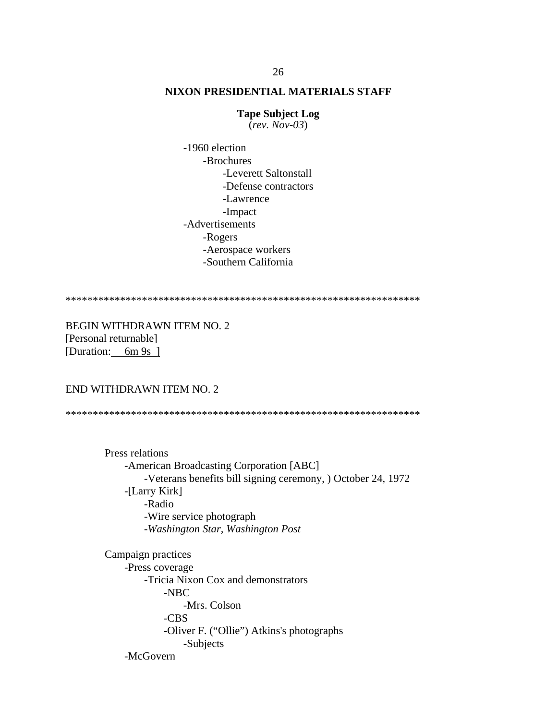#### **Tape Subject Log**

(*rev. Nov-03*)

 -1960 election -Brochures -Leverett Saltonstall -Defense contractors -Lawrence -Impact -Advertisements -Rogers -Aerospace workers -Southern California

\*\*\*\*\*\*\*\*\*\*\*\*\*\*\*\*\*\*\*\*\*\*\*\*\*\*\*\*\*\*\*\*\*\*\*\*\*\*\*\*\*\*\*\*\*\*\*\*\*\*\*\*\*\*\*\*\*\*\*\*\*\*\*\*\*

BEGIN WITHDRAWN ITEM NO. 2 [Personal returnable] [Duration: 6m 9s ]

#### END WITHDRAWN ITEM NO. 2

\*\*\*\*\*\*\*\*\*\*\*\*\*\*\*\*\*\*\*\*\*\*\*\*\*\*\*\*\*\*\*\*\*\*\*\*\*\*\*\*\*\*\*\*\*\*\*\*\*\*\*\*\*\*\*\*\*\*\*\*\*\*\*\*\*

Press relations -American Broadcasting Corporation [ABC] -Veterans benefits bill signing ceremony, ) October 24, 1972 -[Larry Kirk] -Radio -Wire service photograph -*Washington Star, Washington Post*

Campaign practices -Press coverage -Tricia Nixon Cox and demonstrators -NBC -Mrs. Colson -CBS -Oliver F. ("Ollie") Atkins's photographs -Subjects -McGovern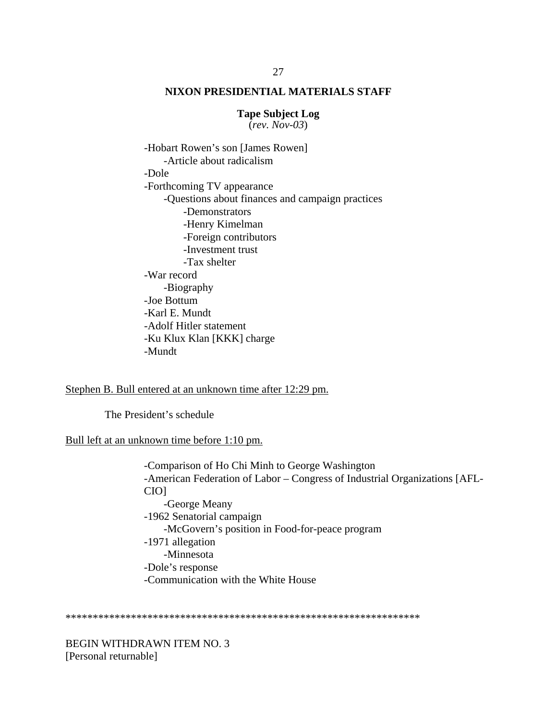#### **Tape Subject Log**

(*rev. Nov-03*)

 -Hobart Rowen's son [James Rowen] -Article about radicalism -Dole -Forthcoming TV appearance -Questions about finances and campaign practices -Demonstrators -Henry Kimelman -Foreign contributors -Investment trust -Tax shelter -War record -Biography -Joe Bottum -Karl E. Mundt -Adolf Hitler statement -Ku Klux Klan [KKK] charge -Mundt

Stephen B. Bull entered at an unknown time after 12:29 pm.

The President's schedule

Bull left at an unknown time before 1:10 pm.

-Comparison of Ho Chi Minh to George Washington -American Federation of Labor – Congress of Industrial Organizations [AFL-CIO] -George Meany -1962 Senatorial campaign -McGovern's position in Food-for-peace program -1971 allegation -Minnesota -Dole's response -Communication with the White House

\*\*\*\*\*\*\*\*\*\*\*\*\*\*\*\*\*\*\*\*\*\*\*\*\*\*\*\*\*\*\*\*\*\*\*\*\*\*\*\*\*\*\*\*\*\*\*\*\*\*\*\*\*\*\*\*\*\*\*\*\*\*\*\*\*

BEGIN WITHDRAWN ITEM NO. 3 [Personal returnable]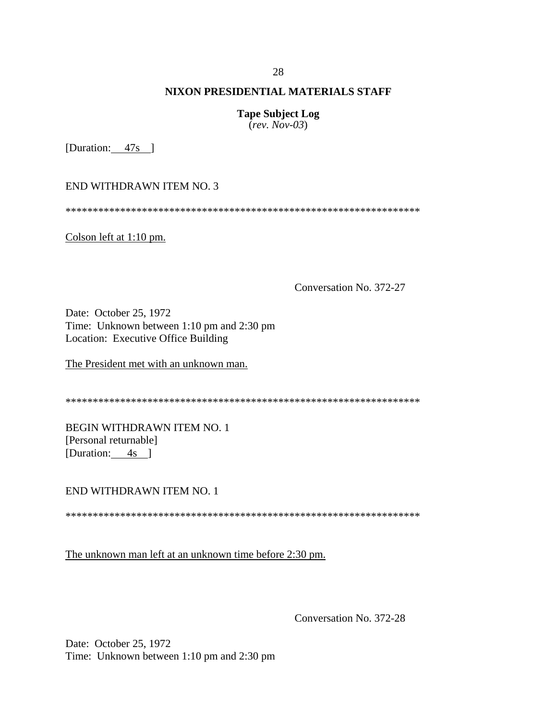#### 28

## **NIXON PRESIDENTIAL MATERIALS STAFF**

**Tape Subject Log** (*rev. Nov-03*)

[Duration: 47s ]

END WITHDRAWN ITEM NO. 3

\*\*\*\*\*\*\*\*\*\*\*\*\*\*\*\*\*\*\*\*\*\*\*\*\*\*\*\*\*\*\*\*\*\*\*\*\*\*\*\*\*\*\*\*\*\*\*\*\*\*\*\*\*\*\*\*\*\*\*\*\*\*\*\*\*

Colson left at 1:10 pm.

Conversation No. 372-27

Date: October 25, 1972 Time: Unknown between 1:10 pm and 2:30 pm Location: Executive Office Building

The President met with an unknown man.

\*\*\*\*\*\*\*\*\*\*\*\*\*\*\*\*\*\*\*\*\*\*\*\*\*\*\*\*\*\*\*\*\*\*\*\*\*\*\*\*\*\*\*\*\*\*\*\*\*\*\*\*\*\*\*\*\*\*\*\*\*\*\*\*\*

BEGIN WITHDRAWN ITEM NO. 1 [Personal returnable] [Duration: 4s ]

END WITHDRAWN ITEM NO. 1

\*\*\*\*\*\*\*\*\*\*\*\*\*\*\*\*\*\*\*\*\*\*\*\*\*\*\*\*\*\*\*\*\*\*\*\*\*\*\*\*\*\*\*\*\*\*\*\*\*\*\*\*\*\*\*\*\*\*\*\*\*\*\*\*\*

The unknown man left at an unknown time before 2:30 pm.

Conversation No. 372-28

Date: October 25, 1972 Time: Unknown between 1:10 pm and 2:30 pm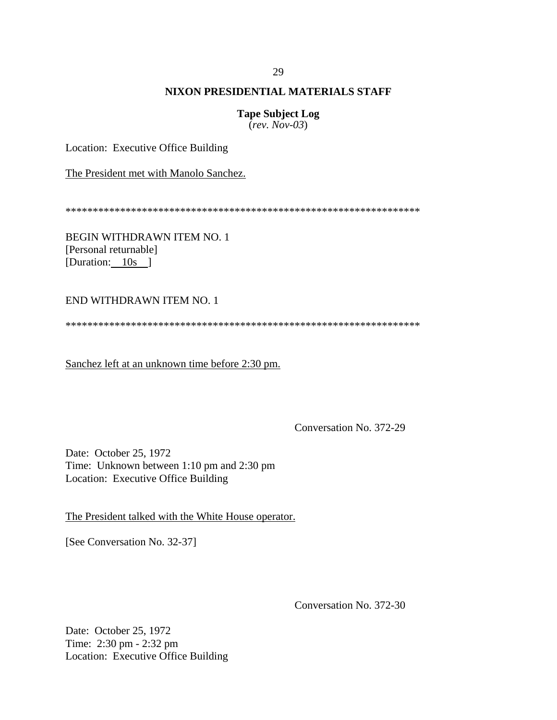#### 29

## **NIXON PRESIDENTIAL MATERIALS STAFF**

# **Tape Subject Log**

(*rev. Nov-03*)

Location: Executive Office Building

The President met with Manolo Sanchez.

\*\*\*\*\*\*\*\*\*\*\*\*\*\*\*\*\*\*\*\*\*\*\*\*\*\*\*\*\*\*\*\*\*\*\*\*\*\*\*\*\*\*\*\*\*\*\*\*\*\*\*\*\*\*\*\*\*\*\*\*\*\*\*\*\*

BEGIN WITHDRAWN ITEM NO. 1 [Personal returnable] [Duration: 10s ]

#### END WITHDRAWN ITEM NO. 1

\*\*\*\*\*\*\*\*\*\*\*\*\*\*\*\*\*\*\*\*\*\*\*\*\*\*\*\*\*\*\*\*\*\*\*\*\*\*\*\*\*\*\*\*\*\*\*\*\*\*\*\*\*\*\*\*\*\*\*\*\*\*\*\*\*

Sanchez left at an unknown time before 2:30 pm.

Conversation No. 372-29

Date: October 25, 1972 Time: Unknown between 1:10 pm and 2:30 pm Location: Executive Office Building

The President talked with the White House operator.

[See Conversation No. 32-37]

Conversation No. 372-30

Date: October 25, 1972 Time: 2:30 pm - 2:32 pm Location: Executive Office Building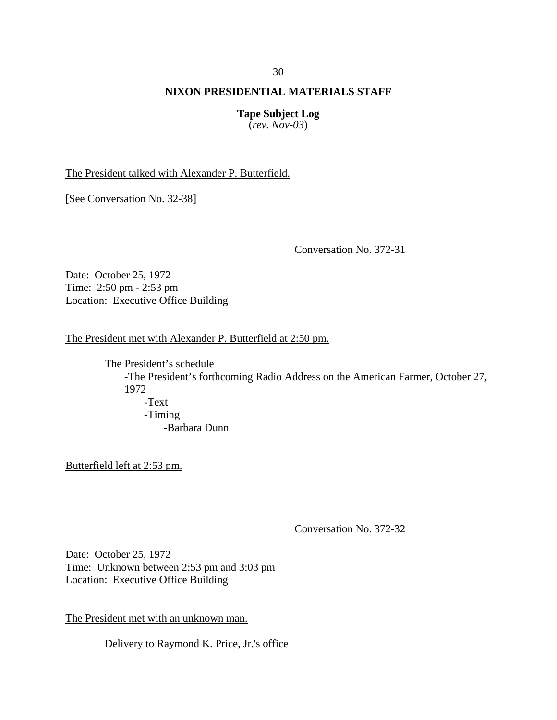**Tape Subject Log** (*rev. Nov-03*)

The President talked with Alexander P. Butterfield.

[See Conversation No. 32-38]

Conversation No. 372-31

Date: October 25, 1972 Time: 2:50 pm - 2:53 pm Location: Executive Office Building

The President met with Alexander P. Butterfield at 2:50 pm.

The President's schedule -The President's forthcoming Radio Address on the American Farmer, October 27, 1972 -Text -Timing -Barbara Dunn

Butterfield left at 2:53 pm.

Conversation No. 372-32

Date: October 25, 1972 Time: Unknown between 2:53 pm and 3:03 pm Location: Executive Office Building

The President met with an unknown man.

Delivery to Raymond K. Price, Jr.'s office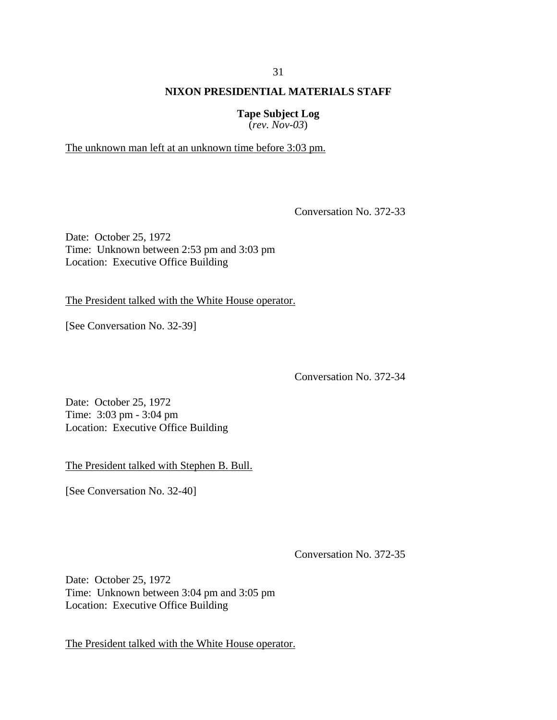**Tape Subject Log** (*rev. Nov-03*)

The unknown man left at an unknown time before 3:03 pm.

Conversation No. 372-33

Date: October 25, 1972 Time: Unknown between 2:53 pm and 3:03 pm Location: Executive Office Building

The President talked with the White House operator.

[See Conversation No. 32-39]

Conversation No. 372-34

Date: October 25, 1972 Time: 3:03 pm - 3:04 pm Location: Executive Office Building

The President talked with Stephen B. Bull.

[See Conversation No. 32-40]

Conversation No. 372-35

Date: October 25, 1972 Time: Unknown between 3:04 pm and 3:05 pm Location: Executive Office Building

The President talked with the White House operator.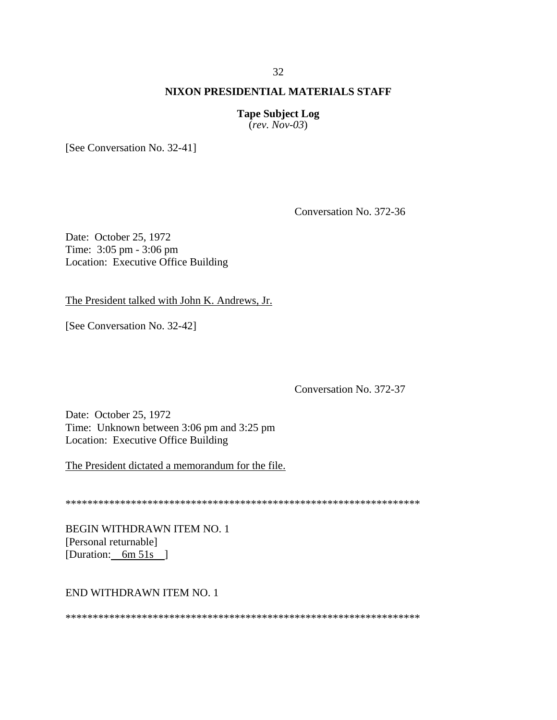# 32

## **NIXON PRESIDENTIAL MATERIALS STAFF**

# **Tape Subject Log**

 $(rev. Nov-03)$ 

[See Conversation No. 32-41]

Conversation No. 372-36

Date: October 25, 1972 Time: 3:05 pm - 3:06 pm Location: Executive Office Building

The President talked with John K. Andrews, Jr.

[See Conversation No. 32-42]

Conversation No. 372-37

Date: October 25, 1972 Time: Unknown between 3:06 pm and 3:25 pm Location: Executive Office Building

The President dictated a memorandum for the file.

**BEGIN WITHDRAWN ITEM NO. 1** [Personal returnable] [Duration: 6m 51s ]

#### **END WITHDRAWN ITEM NO. 1**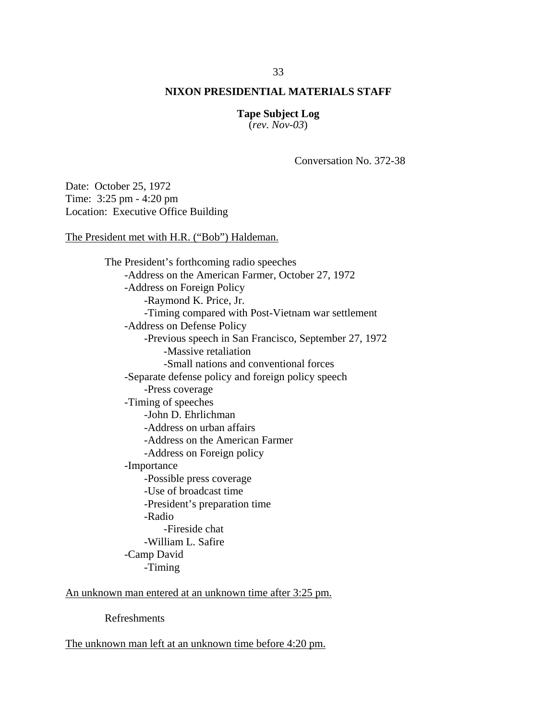# **Tape Subject Log**

(*rev. Nov-03*)

Conversation No. 372-38

Date: October 25, 1972 Time: 3:25 pm - 4:20 pm Location: Executive Office Building

The President met with H.R. ("Bob") Haldeman.

 The President's forthcoming radio speeches -Address on the American Farmer, October 27, 1972 -Address on Foreign Policy -Raymond K. Price, Jr. -Timing compared with Post-Vietnam war settlement -Address on Defense Policy -Previous speech in San Francisco, September 27, 1972 -Massive retaliation -Small nations and conventional forces -Separate defense policy and foreign policy speech -Press coverage -Timing of speeches -John D. Ehrlichman -Address on urban affairs -Address on the American Farmer -Address on Foreign policy -Importance -Possible press coverage -Use of broadcast time -President's preparation time -Radio -Fireside chat -William L. Safire -Camp David

-Timing

An unknown man entered at an unknown time after 3:25 pm.

Refreshments

The unknown man left at an unknown time before 4:20 pm.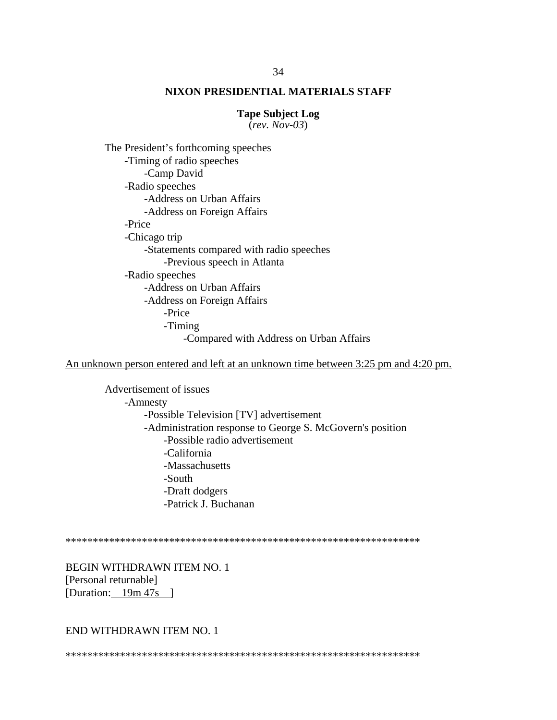#### **Tape Subject Log**

 $(rev. Nov-03)$ 

The President's forthcoming speeches -Timing of radio speeches -Camp David -Radio speeches -Address on Urban Affairs -Address on Foreign Affairs -Price -Chicago trip -Statements compared with radio speeches -Previous speech in Atlanta -Radio speeches -Address on Urban Affairs -Address on Foreign Affairs -Price -Timing -Compared with Address on Urban Affairs

An unknown person entered and left at an unknown time between 3:25 pm and 4:20 pm.

Advertisement of issues -Amnesty -Possible Television [TV] advertisement -Administration response to George S. McGovern's position -Possible radio advertisement -California -Massachusetts -South -Draft dodgers -Patrick J. Buchanan

**BEGIN WITHDRAWN ITEM NO. 1** [Personal returnable] [Duration:  $19m 47s$ ]

## END WITHDRAWN ITEM NO. 1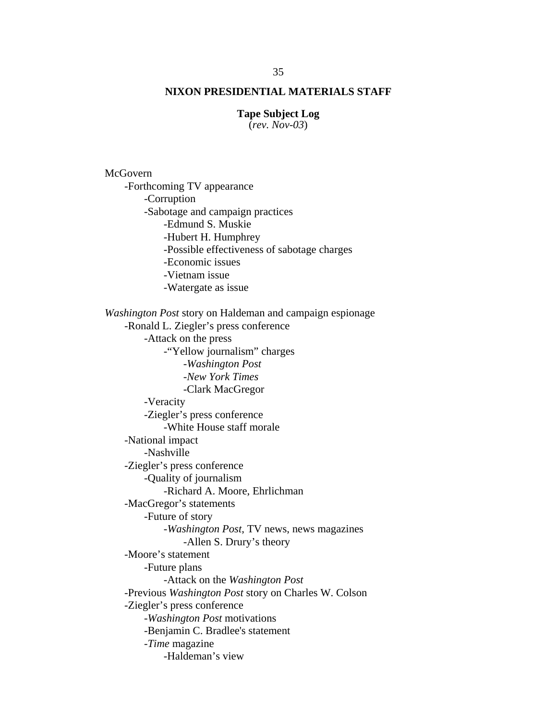#### **Tape Subject Log**

(*rev. Nov-03*)

McGovern -Forthcoming TV appearance -Corruption -Sabotage and campaign practices -Edmund S. Muskie -Hubert H. Humphrey -Possible effectiveness of sabotage charges -Economic issues -Vietnam issue -Watergate as issue *Washington Post* story on Haldeman and campaign espionage -Ronald L. Ziegler's press conference -Attack on the press -"Yellow journalism" charges -*Washington Post -New York Times*  -Clark MacGregor -Veracity -Ziegler's press conference -White House staff morale -National impact -Nashville -Ziegler's press conference -Quality of journalism -Richard A. Moore, Ehrlichman -MacGregor's statements -Future of story -*Washington Post*, TV news, news magazines -Allen S. Drury's theory -Moore's statement -Future plans -Attack on the *Washington Post* -Previous *Washington Post* story on Charles W. Colson -Ziegler's press conference -*Washington Post* motivations -Benjamin C. Bradlee's statement -*Time* magazine -Haldeman's view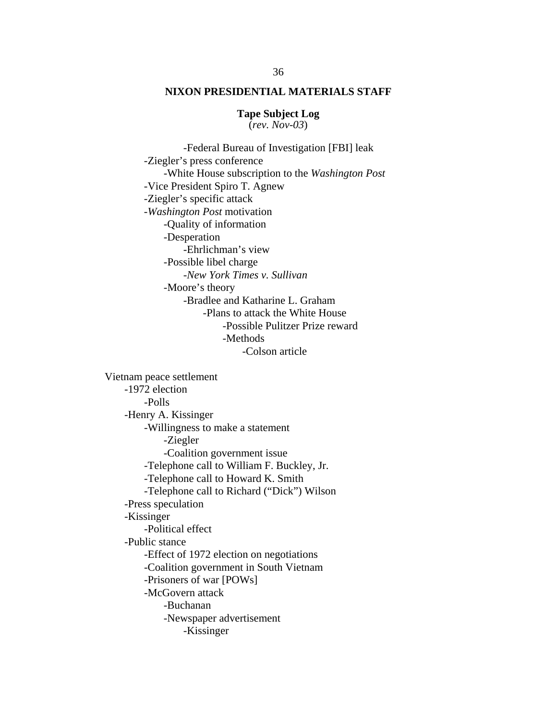# **Tape Subject Log**

(*rev. Nov-03*)

 -Federal Bureau of Investigation [FBI] leak -Ziegler's press conference -White House subscription to the *Washington Post* -Vice President Spiro T. Agnew -Ziegler's specific attack -*Washington Post* motivation -Quality of information -Desperation -Ehrlichman's view -Possible libel charge -*New York Times v. Sullivan*  -Moore's theory -Bradlee and Katharine L. Graham -Plans to attack the White House -Possible Pulitzer Prize reward -Methods -Colson article

Vietnam peace settlement -1972 election -Polls -Henry A. Kissinger -Willingness to make a statement -Ziegler -Coalition government issue -Telephone call to William F. Buckley, Jr. -Telephone call to Howard K. Smith -Telephone call to Richard ("Dick") Wilson -Press speculation -Kissinger -Political effect -Public stance -Effect of 1972 election on negotiations -Coalition government in South Vietnam -Prisoners of war [POWs] -McGovern attack -Buchanan -Newspaper advertisement -Kissinger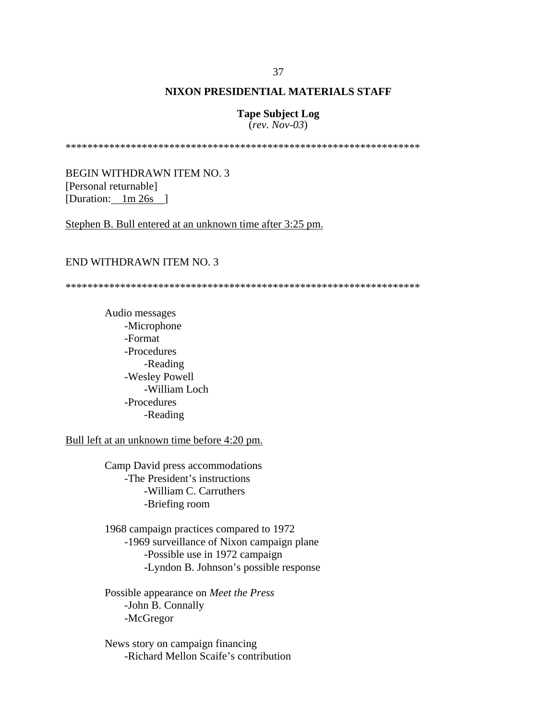#### **Tape Subject Log** (*rev. Nov-03*)

\*\*\*\*\*\*\*\*\*\*\*\*\*\*\*\*\*\*\*\*\*\*\*\*\*\*\*\*\*\*\*\*\*\*\*\*\*\*\*\*\*\*\*\*\*\*\*\*\*\*\*\*\*\*\*\*\*\*\*\*\*\*\*\*\*

BEGIN WITHDRAWN ITEM NO. 3 [Personal returnable] [Duration: 1m 26s ]

Stephen B. Bull entered at an unknown time after 3:25 pm.

#### END WITHDRAWN ITEM NO. 3

\*\*\*\*\*\*\*\*\*\*\*\*\*\*\*\*\*\*\*\*\*\*\*\*\*\*\*\*\*\*\*\*\*\*\*\*\*\*\*\*\*\*\*\*\*\*\*\*\*\*\*\*\*\*\*\*\*\*\*\*\*\*\*\*\*

Audio messages -Microphone -Format -Procedures -Reading -Wesley Powell -William Loch -Procedures -Reading

Bull left at an unknown time before 4:20 pm.

Camp David press accommodations -The President's instructions -William C. Carruthers -Briefing room

1968 campaign practices compared to 1972 -1969 surveillance of Nixon campaign plane -Possible use in 1972 campaign -Lyndon B. Johnson's possible response

 Possible appearance on *Meet the Press* -John B. Connally -McGregor

News story on campaign financing -Richard Mellon Scaife's contribution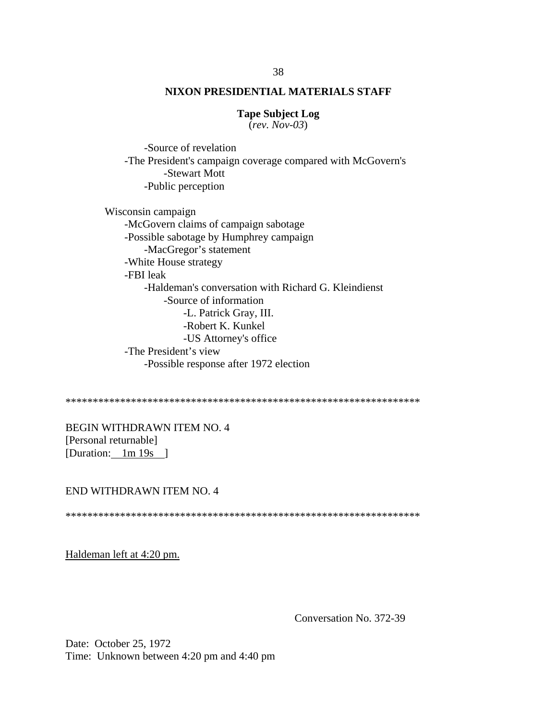#### **Tape Subject Log**

(*rev. Nov-03*)

 -Source of revelation -The President's campaign coverage compared with McGovern's -Stewart Mott -Public perception

Wisconsin campaign

-McGovern claims of campaign sabotage -Possible sabotage by Humphrey campaign -MacGregor's statement -White House strategy -FBI leak -Haldeman's conversation with Richard G. Kleindienst -Source of information -L. Patrick Gray, III. -Robert K. Kunkel -US Attorney's office -The President's view -Possible response after 1972 election

\*\*\*\*\*\*\*\*\*\*\*\*\*\*\*\*\*\*\*\*\*\*\*\*\*\*\*\*\*\*\*\*\*\*\*\*\*\*\*\*\*\*\*\*\*\*\*\*\*\*\*\*\*\*\*\*\*\*\*\*\*\*\*\*\*

BEGIN WITHDRAWN ITEM NO. 4 [Personal returnable] [Duration: 1m 19s ]

#### END WITHDRAWN ITEM NO. 4

\*\*\*\*\*\*\*\*\*\*\*\*\*\*\*\*\*\*\*\*\*\*\*\*\*\*\*\*\*\*\*\*\*\*\*\*\*\*\*\*\*\*\*\*\*\*\*\*\*\*\*\*\*\*\*\*\*\*\*\*\*\*\*\*\*

Haldeman left at 4:20 pm.

Conversation No. 372-39

Date: October 25, 1972 Time: Unknown between 4:20 pm and 4:40 pm